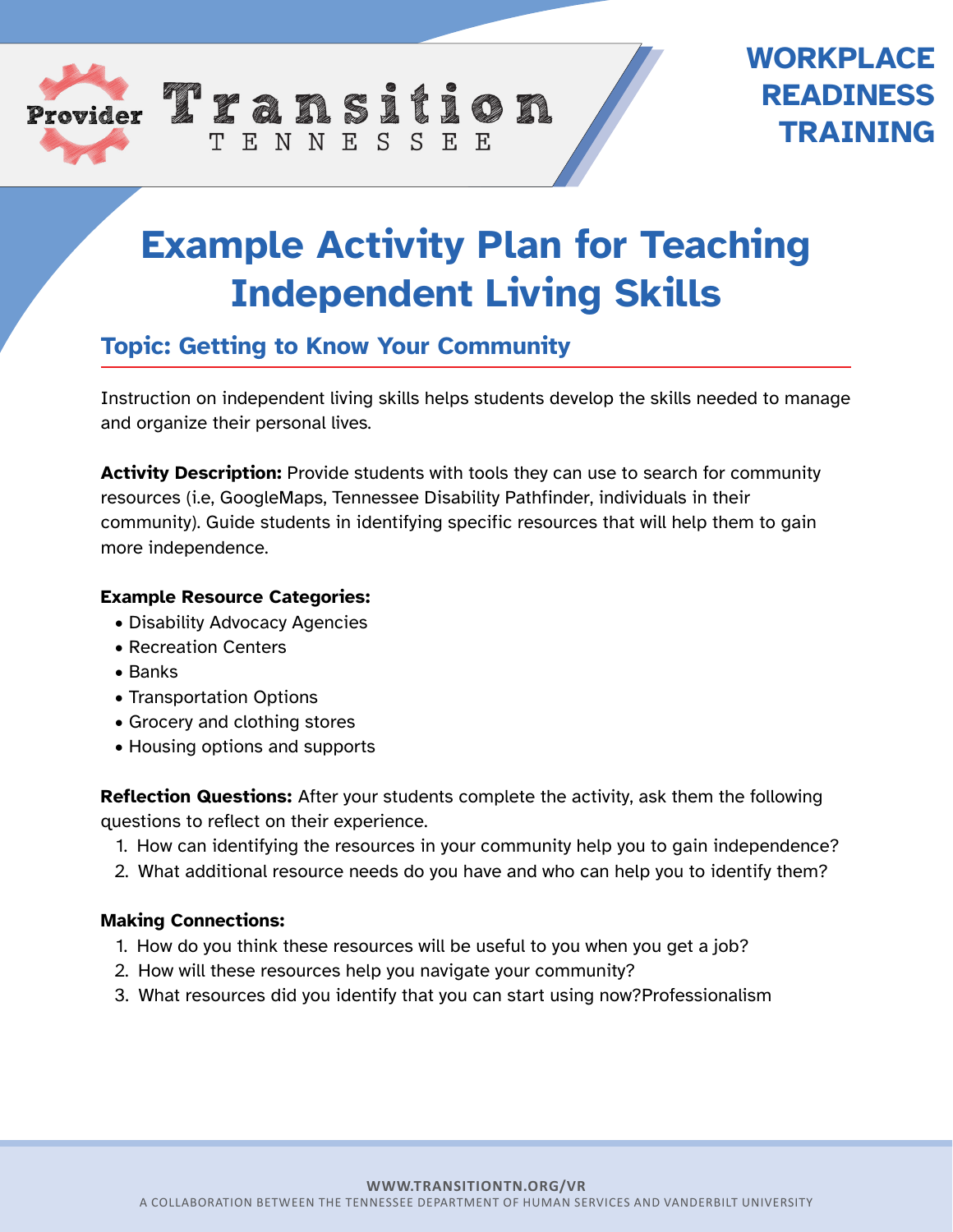

## **WORKPLACE READINESS TRAINING**

# **Example Activity Plan for Teaching Independent Living Skills**

## **Topic: Getting to Know Your Community**

TENNESSEE

Instruction on independent living skills helps students develop the skills needed to manage and organize their personal lives.

**Activity Description:** Provide students with tools they can use to search for community resources (i.e, GoogleMaps, Tennessee Disability Pathfinder, individuals in their community). Guide students in identifying specific resources that will help them to gain more independence.

#### **Example Resource Categories:**

- Disability Advocacy Agencies
- Recreation Centers
- Banks
- Transportation Options
- Grocery and clothing stores
- Housing options and supports

**Reflection Questions:** After your students complete the activity, ask them the following questions to reflect on their experience.

- 1. How can identifying the resources in your community help you to gain independence?
- 2. What additional resource needs do you have and who can help you to identify them?

#### **Making Connections:**

- 1. How do you think these resources will be useful to you when you get a job?
- 2. How will these resources help you navigate your community?
- 3. What resources did you identify that you can start using now?Professionalism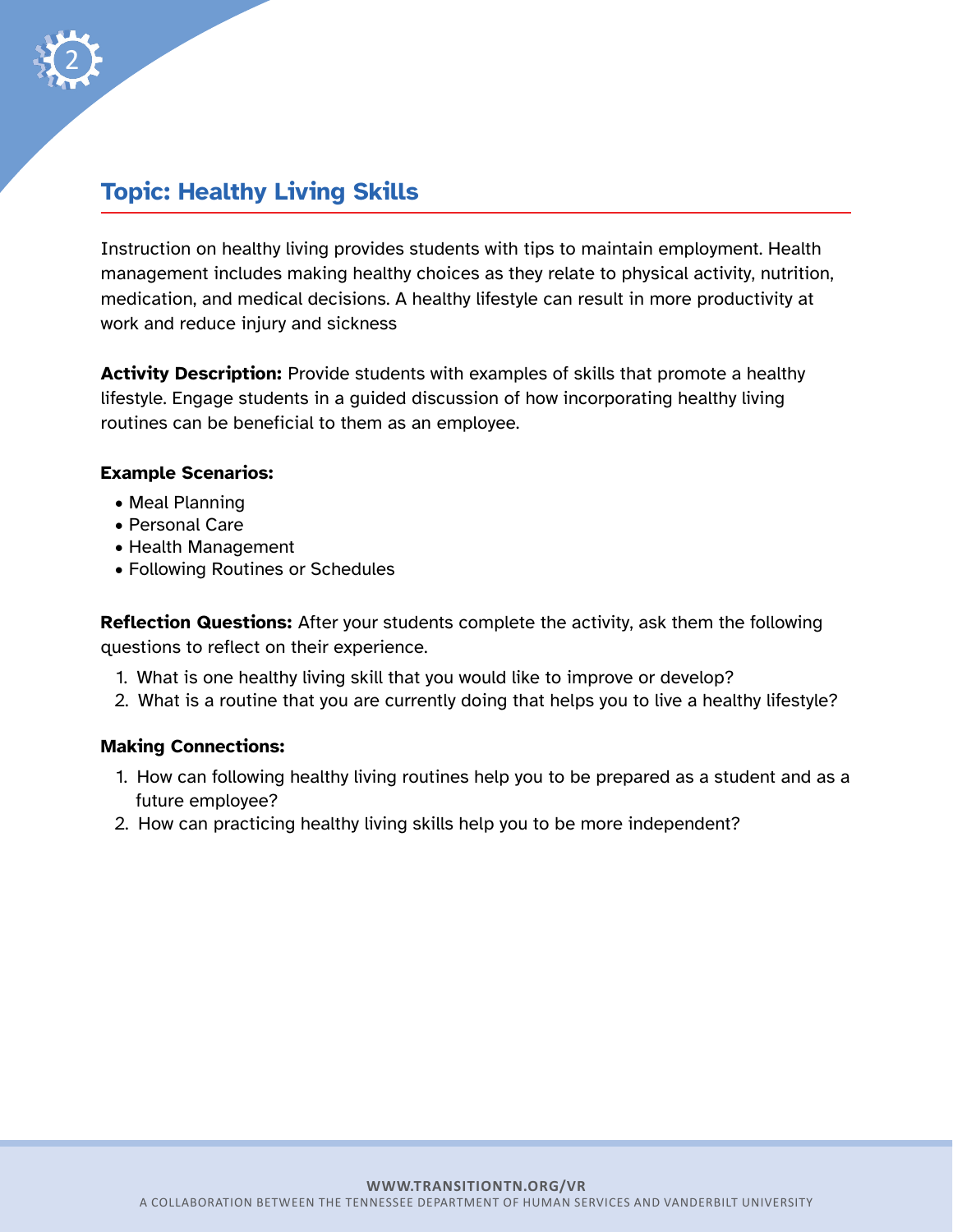

## **Topic: Healthy Living Skills**

Instruction on healthy living provides students with tips to maintain employment. Health management includes making healthy choices as they relate to physical activity, nutrition, medication, and medical decisions. A healthy lifestyle can result in more productivity at work and reduce injury and sickness

**Activity Description:** Provide students with examples of skills that promote a healthy lifestyle. Engage students in a guided discussion of how incorporating healthy living routines can be beneficial to them as an employee.

#### **Example Scenarios:**

- Meal Planning
- Personal Care
- Health Management
- Following Routines or Schedules

**Reflection Questions:** After your students complete the activity, ask them the following questions to reflect on their experience.

- 1. What is one healthy living skill that you would like to improve or develop?
- 2. What is a routine that you are currently doing that helps you to live a healthy lifestyle?

#### **Making Connections:**

- 1. How can following healthy living routines help you to be prepared as a student and as a future employee?
- 2. How can practicing healthy living skills help you to be more independent?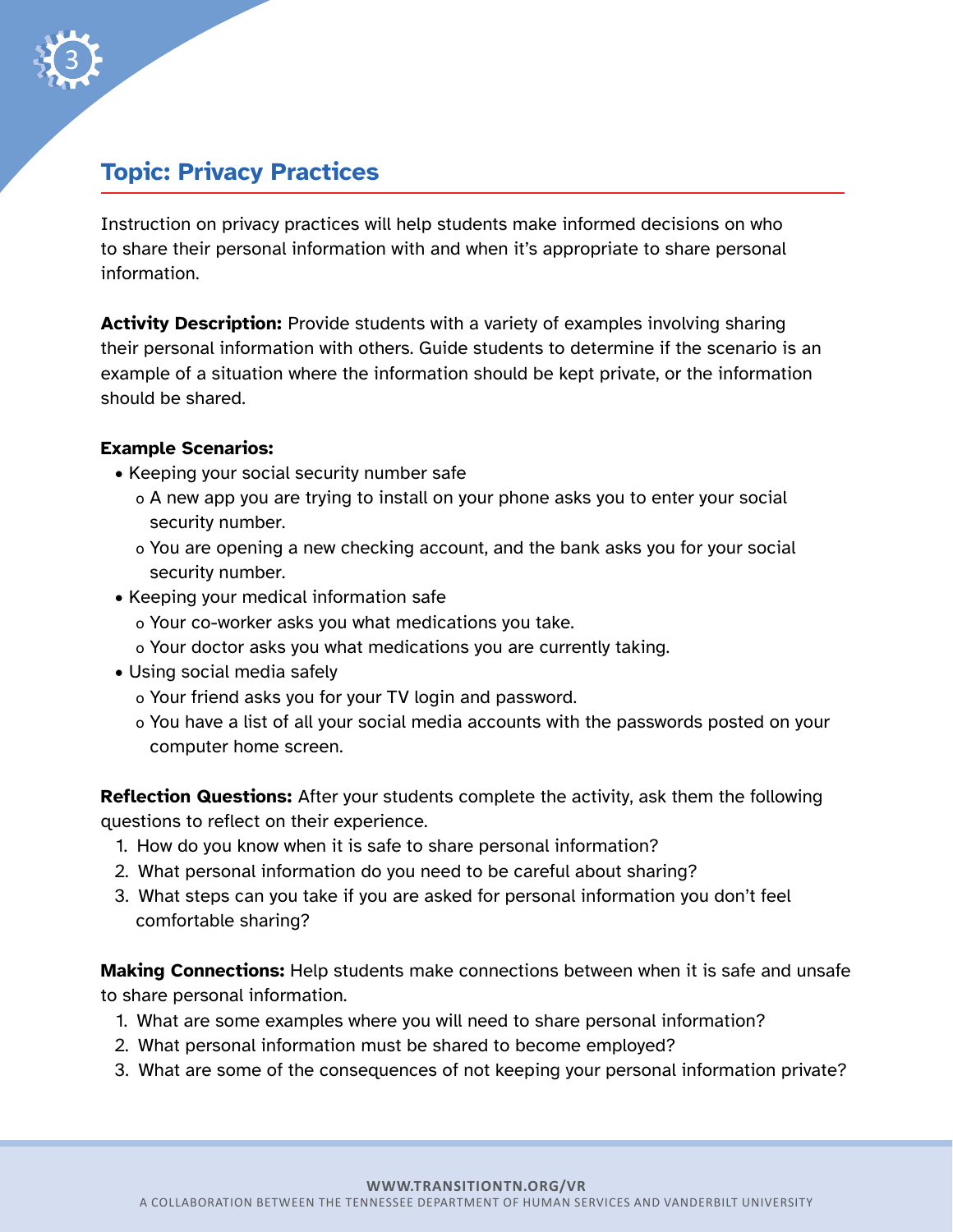

3

Instruction on privacy practices will help students make informed decisions on who to share their personal information with and when it's appropriate to share personal information.

**Activity Description:** Provide students with a variety of examples involving sharing their personal information with others. Guide students to determine if the scenario is an example of a situation where the information should be kept private, or the information should be shared.

#### **Example Scenarios:**

- Keeping your social security number safe
	- o A new app you are trying to install on your phone asks you to enter your social security number.
	- o You are opening a new checking account, and the bank asks you for your social security number.
- Keeping your medical information safe
	- o Your co-worker asks you what medications you take.
	- o Your doctor asks you what medications you are currently taking.
- Using social media safely
	- o Your friend asks you for your TV login and password.
	- o You have a list of all your social media accounts with the passwords posted on your computer home screen.

**Reflection Questions:** After your students complete the activity, ask them the following questions to reflect on their experience.

- 1. How do you know when it is safe to share personal information?
- 2. What personal information do you need to be careful about sharing?
- 3. What steps can you take if you are asked for personal information you don't feel comfortable sharing?

**Making Connections:** Help students make connections between when it is safe and unsafe to share personal information.

- 1. What are some examples where you will need to share personal information?
- 2. What personal information must be shared to become employed?
- 3. What are some of the consequences of not keeping your personal information private?